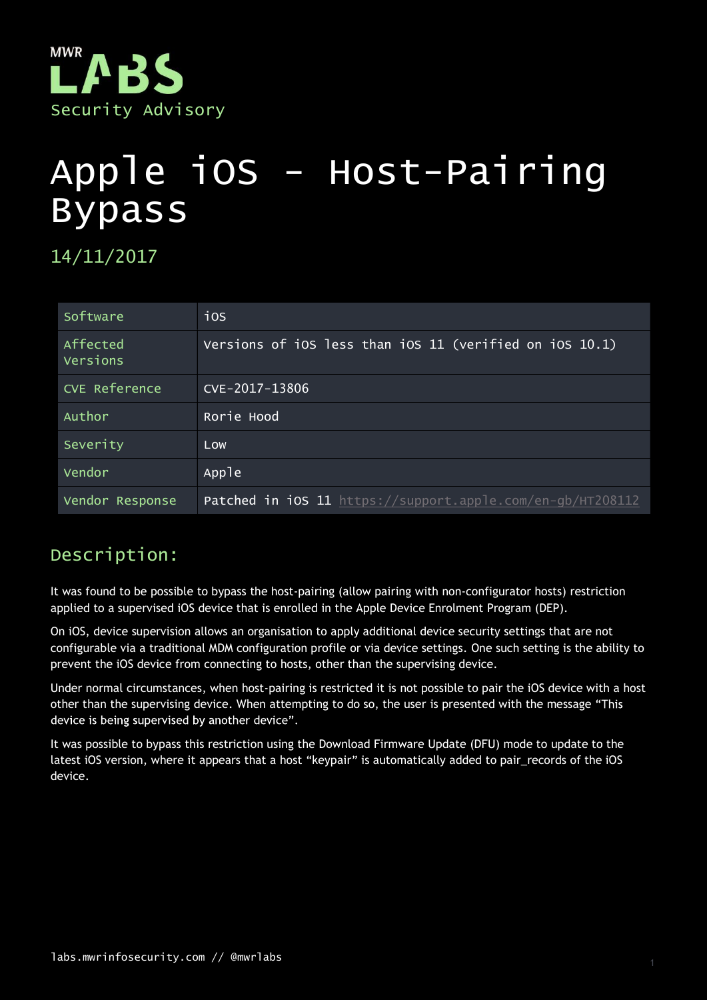

# Apple iOS - Host-Pairing Bypass

14/11/2017

| Software             | ios                                                        |
|----------------------|------------------------------------------------------------|
| Affected<br>Versions | Versions of iOS less than iOS 11 (verified on iOS 10.1)    |
| <b>CVE Reference</b> | CVE-2017-13806                                             |
| Author               | Rorie Hood                                                 |
| Severity             | Low                                                        |
| Vendor               | Apple                                                      |
| Vendor Response      | Patched in iOS 11 https://support.apple.com/en-gb/HT208112 |

## Description:

It was found to be possible to bypass the host-pairing (allow pairing with non-configurator hosts) restriction applied to a supervised iOS device that is enrolled in the Apple Device Enrolment Program (DEP).

On iOS, device supervision allows an organisation to apply additional device security settings that are not configurable via a traditional MDM configuration profile or via device settings. One such setting is the ability to prevent the iOS device from connecting to hosts, other than the supervising device.

Under normal circumstances, when host-pairing is restricted it is not possible to pair the iOS device with a host other than the supervising device. When attempting to do so, the user is presented with the message "This

It was possible to bypass this restriction using the Download Firmware Update (DFU) mode to update to the latest iOS version, where it appears that a host "keypair" is automatically added to pair\_records of the iOS device.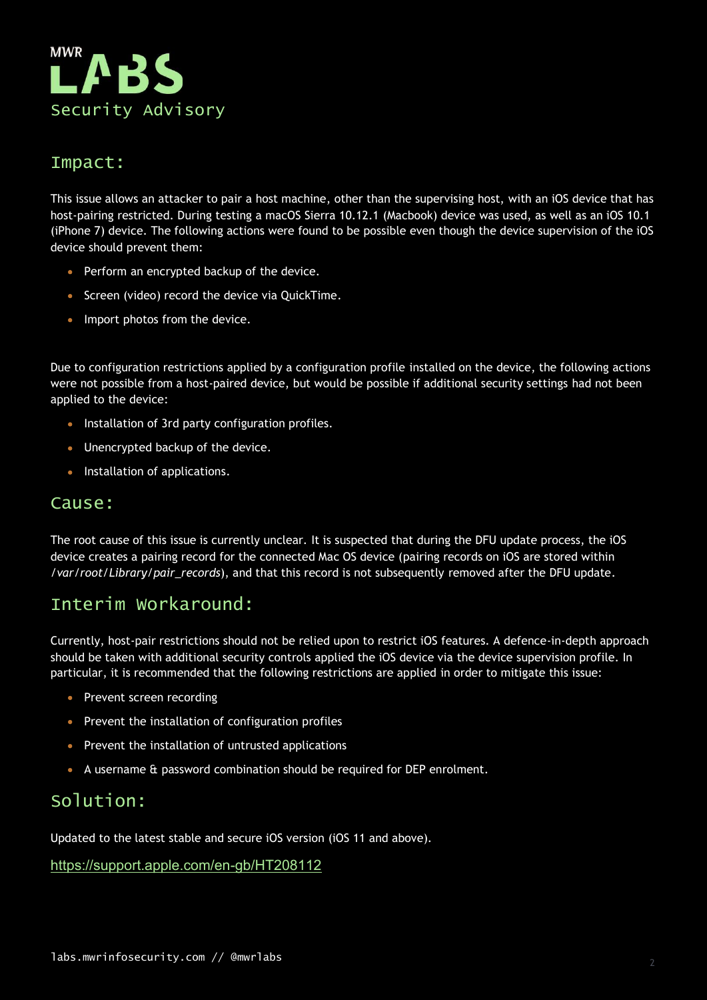

### Impact:

This issue allows an attacker to pair a host machine, other than the supervising host, with an iOS device that has host-pairing restricted. During testing a macOS Sierra 10.12.1 (Macbook) device was used, as well as an iOS 10.1 (iPhone 7) device. The following actions were found to be possible even though the device supervision of the iOS device should prevent them:

- Perform an encrypted backup of the device.
- Screen (video) record the device via QuickTime.
- Import photos from the device.

Due to configuration restrictions applied by a configuration profile installed on the device, the following actions were not possible from a host-paired device, but would be possible if additional security settings had not been applied to the device:

- Installation of 3rd party configuration profiles.
- Unencrypted backup of the device.
- **Installation of applications.**

#### Cause:

The root cause of this issue is currently unclear. It is suspected that during the DFU update process, the iOS device creates a pairing record for the connected Mac OS device (pairing records on iOS are stored within /var/root/Library/pair\_records), and that this record is not subsequently removed after the DFU update.

## Interim Workaround:

Currently, host-pair restrictions should not be relied upon to restrict iOS features. A defence-in-depth approach should be taken with additional security controls applied the iOS device via the device supervision profile. In particular, it is recommended that the following restrictions are applied in order to mitigate this issue:

- Prevent screen recording
- Prevent the installation of configuration profiles
- Prevent the installation of untrusted applications
- A username & password combination should be required for DEP enrolment.

## Solution:

Updated to the latest stable and secure iOS version (iOS 11 and above).

https://support.apple.com/en-gb/HT208112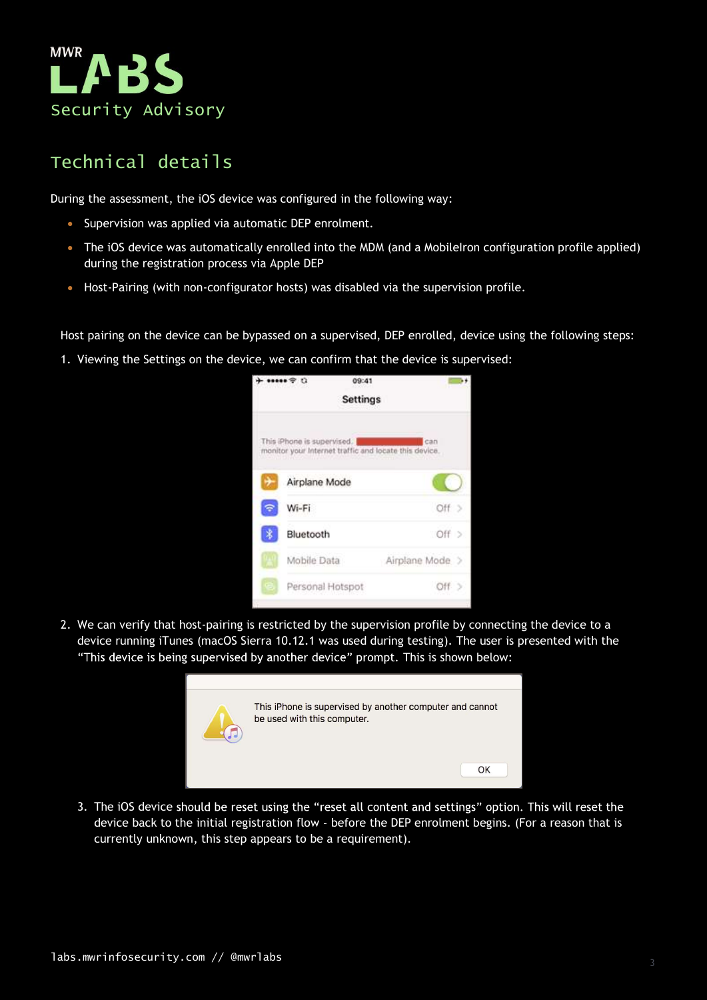

## Technical details

During the assessment, the iOS device was configured in the following way:

- Supervision was applied via automatic DEP enrolment.
- The iOS device was automatically enrolled into the MDM (and a MobileIron configuration profile applied) during the registration process via Apple DEP
- Host-Pairing (with non-configurator hosts) was disabled via the supervision profile.

Host pairing on the device can be bypassed on a supervised, DEP enrolled, device using the following steps:



device running iTunes (macOS Sierra 10.12.1 was used during testing). The user is presented with the "This device is being supervised by another device" prompt. This is shown below:



3. The iOS device should be reset using the "reset all content and settings" option. This will reset the device back to the initial registration flow - before the DEP enrolment begins. (For a reason that is currently unknown, this step appears to be a requirement).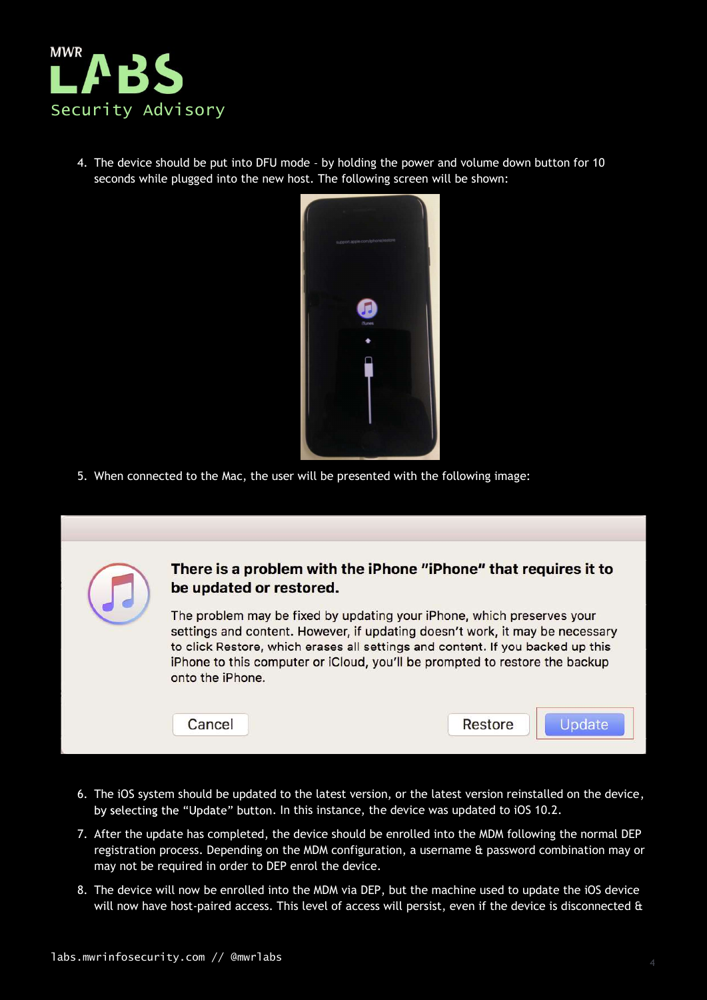

4. The device should be put into DFU mode - by holding the power and volume down button for 10 seconds while plugged into the new host. The following screen will be shown:



5. When connected to the Mac, the user will be presented with the following image:

|  | be updated or restored.<br>The problem may be fixed by updating your iPhone, which preserves your<br>onto the iPhone. | There is a problem with the iPhone "iPhone" that requires it to<br>settings and content. However, if updating doesn't work, it may be necessary<br>to click Restore, which erases all settings and content. If you backed up this<br>iPhone to this computer or iCloud, you'll be prompted to restore the backup |
|--|-----------------------------------------------------------------------------------------------------------------------|------------------------------------------------------------------------------------------------------------------------------------------------------------------------------------------------------------------------------------------------------------------------------------------------------------------|
|  | Cancel                                                                                                                | Restore                                                                                                                                                                                                                                                                                                          |

- 6. The iOS system should be updated to the latest version, or the latest version reinstalled on the device, by selecting the "Update" button. In this instance, the device was updated to iOS 10.2.
- 7. After the update has completed, the device should be enrolled into the MDM following the normal DEP registration process. Depending on the MDM configuration, a username & password combination may or may not be required in order to DEP enrol the device.
- 8. The device will now be enrolled into the MDM via DEP, but the machine used to update the iOS device will now have host-paired access. This level of access will persist, even if the device is disconnected  $\alpha$